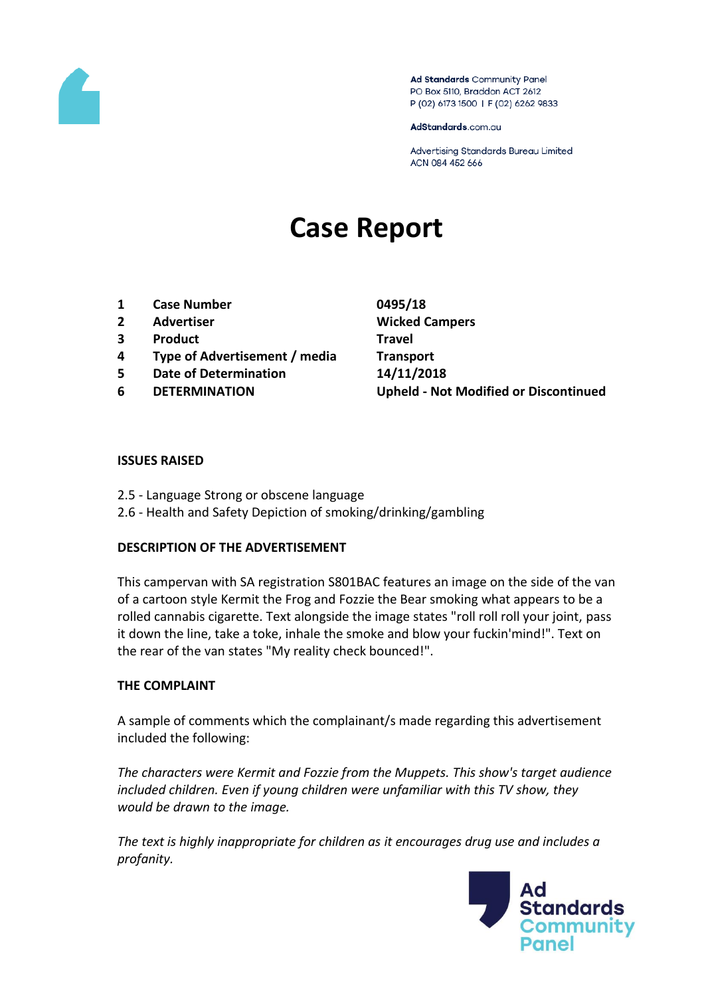

Ad Standards Community Panel PO Box 5110, Braddon ACT 2612 P (02) 6173 1500 | F (02) 6262 9833

AdStandards.com.au

Advertising Standards Bureau Limited ACN 084 452 666

# **Case Report**

- **1 Case Number 0495/18**
- 
- **3 Product Travel**
- **4 Type of Advertisement / media Transport**
- **5 Date of Determination 14/11/2018**
- 

**2 Advertiser Wicked Campers 6 DETERMINATION Upheld - Not Modified or Discontinued**

#### **ISSUES RAISED**

- 2.5 Language Strong or obscene language
- 2.6 Health and Safety Depiction of smoking/drinking/gambling

## **DESCRIPTION OF THE ADVERTISEMENT**

This campervan with SA registration S801BAC features an image on the side of the van of a cartoon style Kermit the Frog and Fozzie the Bear smoking what appears to be a rolled cannabis cigarette. Text alongside the image states "roll roll roll your joint, pass it down the line, take a toke, inhale the smoke and blow your fuckin'mind!". Text on the rear of the van states "My reality check bounced!".

## **THE COMPLAINT**

A sample of comments which the complainant/s made regarding this advertisement included the following:

*The characters were Kermit and Fozzie from the Muppets. This show's target audience included children. Even if young children were unfamiliar with this TV show, they would be drawn to the image.*

*The text is highly inappropriate for children as it encourages drug use and includes a profanity.*

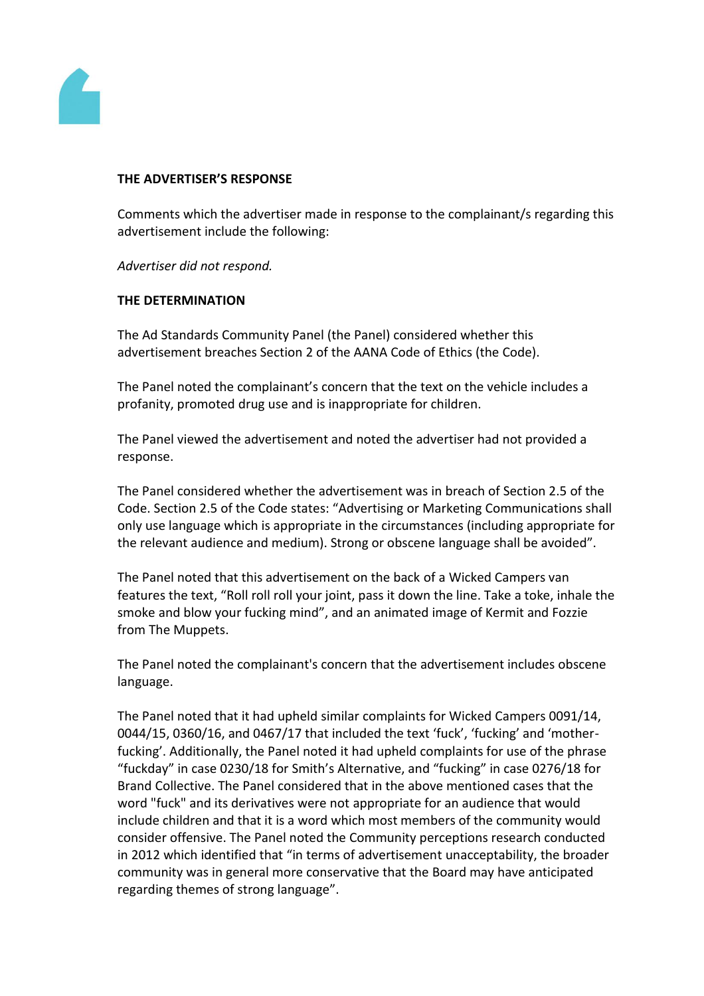

## **THE ADVERTISER'S RESPONSE**

Comments which the advertiser made in response to the complainant/s regarding this advertisement include the following:

*Advertiser did not respond.*

#### **THE DETERMINATION**

The Ad Standards Community Panel (the Panel) considered whether this advertisement breaches Section 2 of the AANA Code of Ethics (the Code).

The Panel noted the complainant's concern that the text on the vehicle includes a profanity, promoted drug use and is inappropriate for children.

The Panel viewed the advertisement and noted the advertiser had not provided a response.

The Panel considered whether the advertisement was in breach of Section 2.5 of the Code. Section 2.5 of the Code states: "Advertising or Marketing Communications shall only use language which is appropriate in the circumstances (including appropriate for the relevant audience and medium). Strong or obscene language shall be avoided".

The Panel noted that this advertisement on the back of a Wicked Campers van features the text, "Roll roll roll your joint, pass it down the line. Take a toke, inhale the smoke and blow your fucking mind", and an animated image of Kermit and Fozzie from The Muppets.

The Panel noted the complainant's concern that the advertisement includes obscene language.

The Panel noted that it had upheld similar complaints for Wicked Campers 0091/14, 0044/15, 0360/16, and 0467/17 that included the text 'fuck', 'fucking' and 'motherfucking'. Additionally, the Panel noted it had upheld complaints for use of the phrase "fuckday" in case 0230/18 for Smith's Alternative, and "fucking" in case 0276/18 for Brand Collective. The Panel considered that in the above mentioned cases that the word "fuck" and its derivatives were not appropriate for an audience that would include children and that it is a word which most members of the community would consider offensive. The Panel noted the Community perceptions research conducted in 2012 which identified that "in terms of advertisement unacceptability, the broader community was in general more conservative that the Board may have anticipated regarding themes of strong language".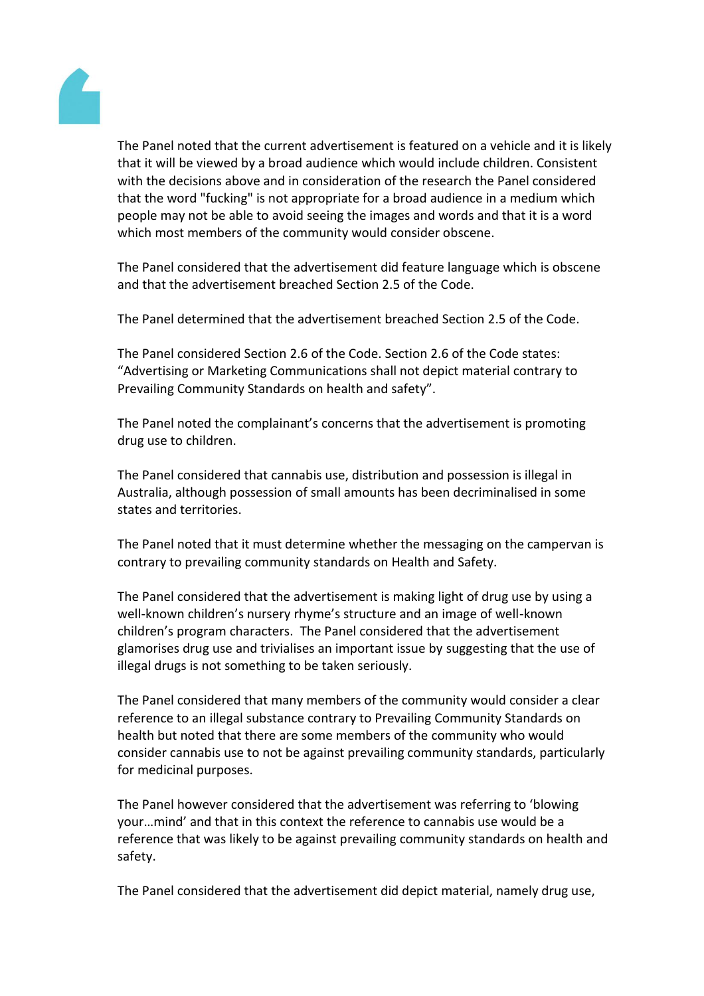

The Panel noted that the current advertisement is featured on a vehicle and it is likely that it will be viewed by a broad audience which would include children. Consistent with the decisions above and in consideration of the research the Panel considered that the word "fucking" is not appropriate for a broad audience in a medium which people may not be able to avoid seeing the images and words and that it is a word which most members of the community would consider obscene.

The Panel considered that the advertisement did feature language which is obscene and that the advertisement breached Section 2.5 of the Code.

The Panel determined that the advertisement breached Section 2.5 of the Code.

The Panel considered Section 2.6 of the Code. Section 2.6 of the Code states: "Advertising or Marketing Communications shall not depict material contrary to Prevailing Community Standards on health and safety".

The Panel noted the complainant's concerns that the advertisement is promoting drug use to children.

The Panel considered that cannabis use, distribution and possession is illegal in Australia, although possession of small amounts has been decriminalised in some states and territories.

The Panel noted that it must determine whether the messaging on the campervan is contrary to prevailing community standards on Health and Safety.

The Panel considered that the advertisement is making light of drug use by using a well-known children's nursery rhyme's structure and an image of well-known children's program characters. The Panel considered that the advertisement glamorises drug use and trivialises an important issue by suggesting that the use of illegal drugs is not something to be taken seriously.

The Panel considered that many members of the community would consider a clear reference to an illegal substance contrary to Prevailing Community Standards on health but noted that there are some members of the community who would consider cannabis use to not be against prevailing community standards, particularly for medicinal purposes.

The Panel however considered that the advertisement was referring to 'blowing your…mind' and that in this context the reference to cannabis use would be a reference that was likely to be against prevailing community standards on health and safety.

The Panel considered that the advertisement did depict material, namely drug use,